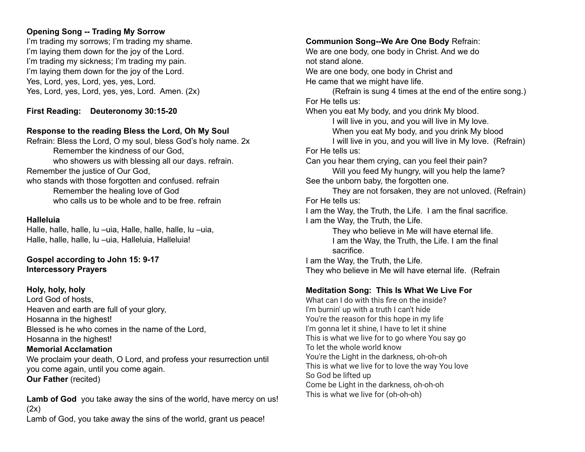# **Opening Song -- Trading My Sorrow**

I'm trading my sorrows; I'm trading my shame. I'm laying them down for the joy of the Lord. I'm trading my sickness; I'm trading my pain. I'm laying them down for the joy of the Lord. Yes, Lord, yes, Lord, yes, yes, Lord. Yes, Lord, yes, Lord, yes, yes, Lord. Amen. (2x)

**First Reading: Deuteronomy 30:15-20**

# **Response to the reading Bless the Lord, Oh My Soul**

Refrain: Bless the Lord, O my soul, bless God's holy name. 2x Remember the kindness of our God, who showers us with blessing all our days. refrain. Remember the justice of Our God, who stands with those forgotten and confused. refrain Remember the healing love of God who calls us to be whole and to be free. refrain

## **Halleluia**

Halle, halle, halle, lu –uia, Halle, halle, halle, lu –uia, Halle, halle, halle, lu –uia, Halleluia, Halleluia!

**Gospel according to John 15: 9-17 Intercessory Prayers**

## **Holy, holy, holy**

Lord God of hosts, Heaven and earth are full of your glory, Hosanna in the highest! Blessed is he who comes in the name of the Lord, Hosanna in the highest!

#### **Memorial Acclamation**

We proclaim your death, O Lord, and profess your resurrection until you come again, until you come again. **Our Father** (recited)

**Lamb of God** you take away the sins of the world, have mercy on us!  $(2x)$ Lamb of God, you take away the sins of the world, grant us peace!

### **Communion Song--We Are One Body** Refrain:

We are one body, one body in Christ. And we do not stand alone. We are one body, one body in Christ and

He came that we might have life.

(Refrain is sung 4 times at the end of the entire song.) For He tells us:

When you eat My body, and you drink My blood.

I will live in you, and you will live in My love.

When you eat My body, and you drink My blood

I will live in you, and you will live in My love. (Refrain) For He tells us:

Can you hear them crying, can you feel their pain?

Will you feed My hungry, will you help the lame? See the unborn baby, the forgotten one.

They are not forsaken, they are not unloved. (Refrain) For He tells us:

I am the Way, the Truth, the Life. I am the final sacrifice. I am the Way, the Truth, the Life.

> They who believe in Me will have eternal life. I am the Way, the Truth, the Life. I am the final sacrifice.

I am the Way, the Truth, the Life. They who believe in Me will have eternal life. (Refrain

## **Meditation Song: This Is What We Live For**

What can I do with this fire on the inside? I'm burnin' up with a truth I can't hide You're the reason for this hope in my life I'm gonna let it shine, I have to let it shine This is what we live for to go where You say go To let the whole world know You're the Light in the darkness, oh-oh-oh This is what we live for to love the way You love So God be lifted up Come be Light in the darkness, oh-oh-oh This is what we live for (oh-oh-oh)